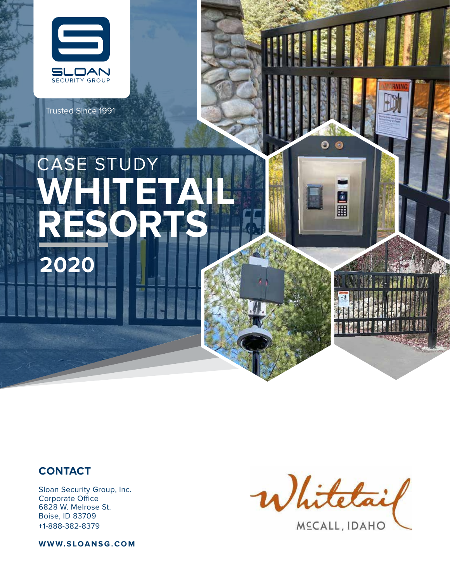

Trusted Since 1991

# ASE STUDY **WHITETAIL RESORTS 2020**

#### **CONTACT**

Sloan Security Group, Inc. Corporate Office 6828 W. Melrose St. Boise, ID 83709 +1-888-382-8379

**WWW.SLOANSG.COM**



O  $\odot$ 

> ٨ 圃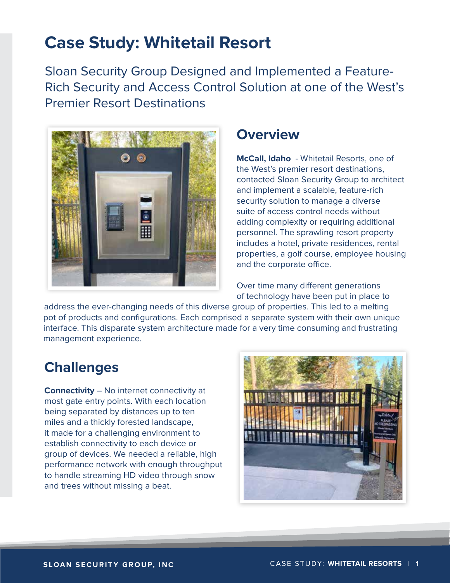# **Case Study: Whitetail Resort**

Sloan Security Group Designed and Implemented a Feature-Rich Security and Access Control Solution at one of the West's Premier Resort Destinations



#### **Overview**

**McCall, Idaho** - Whitetail Resorts, one of the West's premier resort destinations, contacted Sloan Security Group to architect and implement a scalable, feature-rich security solution to manage a diverse suite of access control needs without adding complexity or requiring additional personnel. The sprawling resort property includes a hotel, private residences, rental properties, a golf course, employee housing and the corporate office.

Over time many different generations of technology have been put in place to

address the ever-changing needs of this diverse group of properties. This led to a melting pot of products and configurations. Each comprised a separate system with their own unique interface. This disparate system architecture made for a very time consuming and frustrating management experience.

## **Challenges**

**Connectivity** – No internet connectivity at most gate entry points. With each location being separated by distances up to ten miles and a thickly forested landscape, it made for a challenging environment to establish connectivity to each device or group of devices. We needed a reliable, high performance network with enough throughput to handle streaming HD video through snow and trees without missing a beat.

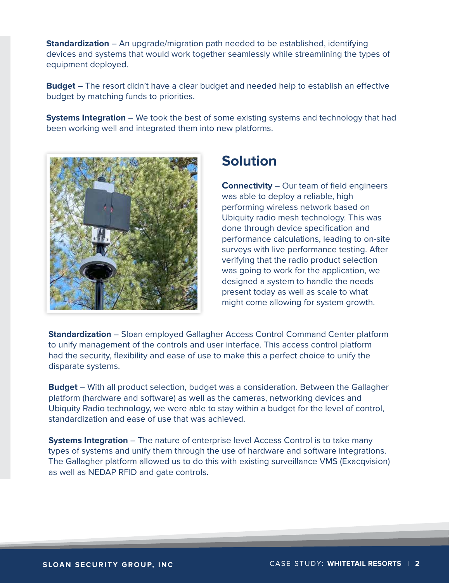**Standardization** – An upgrade/migration path needed to be established, identifying devices and systems that would work together seamlessly while streamlining the types of equipment deployed.

**Budget** – The resort didn't have a clear budget and needed help to establish an effective budget by matching funds to priorities.

**Systems Integration** – We took the best of some existing systems and technology that had been working well and integrated them into new platforms.



### **Solution**

**Connectivity** – Our team of field engineers was able to deploy a reliable, high performing wireless network based on Ubiquity radio mesh technology. This was done through device specification and performance calculations, leading to on-site surveys with live performance testing. After verifying that the radio product selection was going to work for the application, we designed a system to handle the needs present today as well as scale to what might come allowing for system growth.

**Standardization** – Sloan employed Gallagher Access Control Command Center platform to unify management of the controls and user interface. This access control platform had the security, flexibility and ease of use to make this a perfect choice to unify the disparate systems.

**Budget** – With all product selection, budget was a consideration. Between the Gallagher platform (hardware and software) as well as the cameras, networking devices and Ubiquity Radio technology, we were able to stay within a budget for the level of control, standardization and ease of use that was achieved.

**Systems Integration** – The nature of enterprise level Access Control is to take many types of systems and unify them through the use of hardware and software integrations. The Gallagher platform allowed us to do this with existing surveillance VMS (Exacqvision) as well as NEDAP RFID and gate controls.